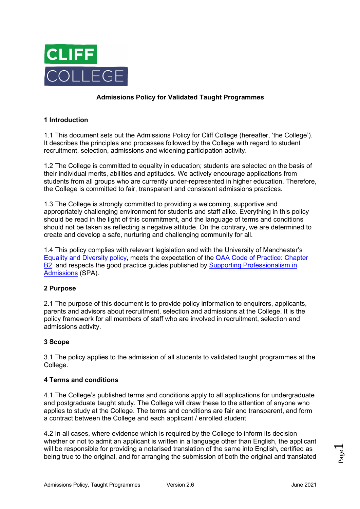

# **Admissions Policy for Validated Taught Programmes**

## **1 Introduction**

1.1 This document sets out the Admissions Policy for Cliff College (hereafter, 'the College'). It describes the principles and processes followed by the College with regard to student recruitment, selection, admissions and widening participation activity.

1.2 The College is committed to equality in education; students are selected on the basis of their individual merits, abilities and aptitudes. We actively encourage applications from students from all groups who are currently under-represented in higher education. Therefore, the College is committed to fair, transparent and consistent admissions practices.

1.3 The College is strongly committed to providing a welcoming, supportive and appropriately challenging environment for students and staff alike. Everything in this policy should be read in the light of this commitment, and the language of terms and conditions should not be taken as reflecting a negative attitude. On the contrary, we are determined to create and develop a safe, nurturing and challenging community for all.

1.4 This policy complies with relevant legislation and with the University of Manchester's Equality and Diversity policy, meets the expectation of the QAA Code of Practice: Chapter B<sub>2</sub>, and respects the good practice guides published by Supporting Professionalism in Admissions (SPA).

## **2 Purpose**

2.1 The purpose of this document is to provide policy information to enquirers, applicants, parents and advisors about recruitment, selection and admissions at the College. It is the policy framework for all members of staff who are involved in recruitment, selection and admissions activity.

#### **3 Scope**

3.1 The policy applies to the admission of all students to validated taught programmes at the College.

#### **4 Terms and conditions**

4.1 The College's published terms and conditions apply to all applications for undergraduate and postgraduate taught study. The College will draw these to the attention of anyone who applies to study at the College. The terms and conditions are fair and transparent, and form a contract between the College and each applicant / enrolled student.

4.2 In all cases, where evidence which is required by the College to inform its decision whether or not to admit an applicant is written in a language other than English, the applicant will be responsible for providing a notarised translation of the same into English, certified as being true to the original, and for arranging the submission of both the original and translated

Page  $\overline{\phantom{0}}$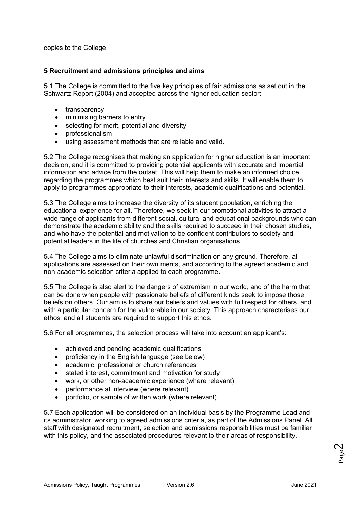copies to the College.

### **5 Recruitment and admissions principles and aims**

5.1 The College is committed to the five key principles of fair admissions as set out in the Schwartz Report (2004) and accepted across the higher education sector:

- transparency
- minimising barriers to entry
- selecting for merit, potential and diversity
- professionalism
- using assessment methods that are reliable and valid.

5.2 The College recognises that making an application for higher education is an important decision, and it is committed to providing potential applicants with accurate and impartial information and advice from the outset. This will help them to make an informed choice regarding the programmes which best suit their interests and skills. It will enable them to apply to programmes appropriate to their interests, academic qualifications and potential.

5.3 The College aims to increase the diversity of its student population, enriching the educational experience for all. Therefore, we seek in our promotional activities to attract a wide range of applicants from different social, cultural and educational backgrounds who can demonstrate the academic ability and the skills required to succeed in their chosen studies, and who have the potential and motivation to be confident contributors to society and potential leaders in the life of churches and Christian organisations.

5.4 The College aims to eliminate unlawful discrimination on any ground. Therefore, all applications are assessed on their own merits, and according to the agreed academic and non-academic selection criteria applied to each programme.

5.5 The College is also alert to the dangers of extremism in our world, and of the harm that can be done when people with passionate beliefs of different kinds seek to impose those beliefs on others. Our aim is to share our beliefs and values with full respect for others, and with a particular concern for the vulnerable in our society. This approach characterises our ethos, and all students are required to support this ethos.

5.6 For all programmes, the selection process will take into account an applicant's:

- achieved and pending academic qualifications
- proficiency in the English language (see below)
- academic, professional or church references
- stated interest, commitment and motivation for study
- work, or other non-academic experience (where relevant)
- performance at interview (where relevant)
- portfolio, or sample of written work (where relevant)

5.7 Each application will be considered on an individual basis by the Programme Lead and its administrator, working to agreed admissions criteria, as part of the Admissions Panel. All staff with designated recruitment, selection and admissions responsibilities must be familiar with this policy, and the associated procedures relevant to their areas of responsibility.

Page  $\boldsymbol{\sim}$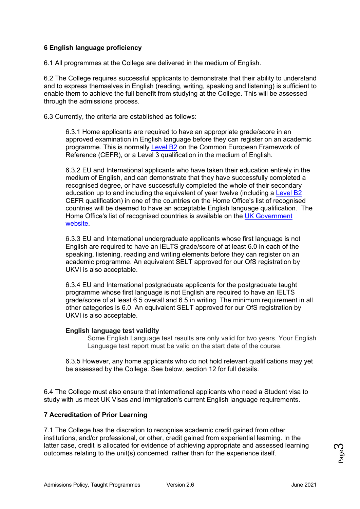# **6 English language proficiency**

6.1 All programmes at the College are delivered in the medium of English.

6.2 The College requires successful applicants to demonstrate that their ability to understand and to express themselves in English (reading, writing, speaking and listening) is sufficient to enable them to achieve the full benefit from studying at the College. This will be assessed through the admissions process.

6.3 Currently, the criteria are established as follows:

6.3.1 Home applicants are required to have an appropriate grade/score in an approved examination in English language before they can register on an academic programme. This is normally Level B2 on the Common European Framework of Reference (CEFR), or a Level 3 qualification in the medium of English.

6.3.2 EU and International applicants who have taken their education entirely in the medium of English, and can demonstrate that they have successfully completed a recognised degree, or have successfully completed the whole of their secondary education up to and including the equivalent of year twelve (including a Level B2 CEFR qualification) in one of the countries on the Home Office's list of recognised countries will be deemed to have an acceptable English language qualification. The Home Office's list of recognised countries is available on the UK Government website.

6.3.3 EU and International undergraduate applicants whose first language is not English are required to have an IELTS grade/score of at least 6.0 in each of the speaking, listening, reading and writing elements before they can register on an academic programme. An equivalent SELT approved for our OfS registration by UKVI is also acceptable.

6.3.4 EU and International postgraduate applicants for the postgraduate taught programme whose first language is not English are required to have an IELTS grade/score of at least 6.5 overall and 6.5 in writing. The minimum requirement in all other categories is 6.0. An equivalent SELT approved for our OfS registration by UKVI is also acceptable.

#### **English language test validity**

Some English Language test results are only valid for two years. Your English Language test report must be valid on the start date of the course.

6.3.5 However, any home applicants who do not hold relevant qualifications may yet be assessed by the College. See below, section 12 for full details.

6.4 The College must also ensure that international applicants who need a Student visa to study with us meet UK Visas and Immigration's current English language requirements.

## **7 Accreditation of Prior Learning**

7.1 The College has the discretion to recognise academic credit gained from other institutions, and/or professional, or other, credit gained from experiential learning. In the latter case, credit is allocated for evidence of achieving appropriate and assessed learning outcomes relating to the unit(s) concerned, rather than for the experience itself.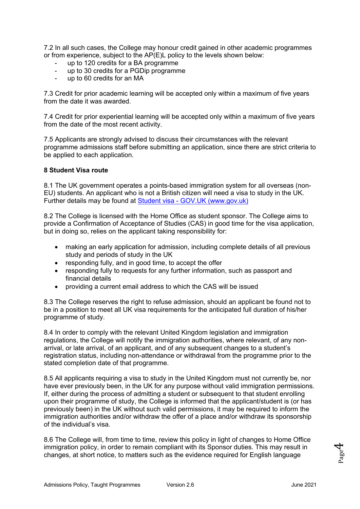7.2 In all such cases, the College may honour credit gained in other academic programmes or from experience, subject to the AP(E)L policy to the levels shown below:

- up to 120 credits for a BA programme
- up to 30 credits for a PGDip programme
- up to 60 credits for an MA

7.3 Credit for prior academic learning will be accepted only within a maximum of five years from the date it was awarded.

7.4 Credit for prior experiential learning will be accepted only within a maximum of five years from the date of the most recent activity.

7.5 Applicants are strongly advised to discuss their circumstances with the relevant programme admissions staff before submitting an application, since there are strict criteria to be applied to each application.

#### **8 Student Visa route**

8.1 The UK government operates a points-based immigration system for all overseas (non-EU) students. An applicant who is not a British citizen will need a visa to study in the UK. Further details may be found at Student visa - GOV.UK (www.gov.uk)

8.2 The College is licensed with the Home Office as student sponsor. The College aims to provide a Confirmation of Acceptance of Studies (CAS) in good time for the visa application, but in doing so, relies on the applicant taking responsibility for:

- making an early application for admission, including complete details of all previous study and periods of study in the UK
- responding fully, and in good time, to accept the offer
- responding fully to requests for any further information, such as passport and financial details
- providing a current email address to which the CAS will be issued

8.3 The College reserves the right to refuse admission, should an applicant be found not to be in a position to meet all UK visa requirements for the anticipated full duration of his/her programme of study.

8.4 In order to comply with the relevant United Kingdom legislation and immigration regulations, the College will notify the immigration authorities, where relevant, of any nonarrival, or late arrival, of an applicant, and of any subsequent changes to a student's registration status, including non-attendance or withdrawal from the programme prior to the stated completion date of that programme.

8.5 All applicants requiring a visa to study in the United Kingdom must not currently be, nor have ever previously been, in the UK for any purpose without valid immigration permissions. If, either during the process of admitting a student or subsequent to that student enrolling upon their programme of study, the College is informed that the applicant/student is (or has previously been) in the UK without such valid permissions, it may be required to inform the immigration authorities and/or withdraw the offer of a place and/or withdraw its sponsorship of the individual's visa.

8.6 The College will, from time to time, review this policy in light of changes to Home Office immigration policy, in order to remain compliant with its Sponsor duties. This may result in changes, at short notice, to matters such as the evidence required for English language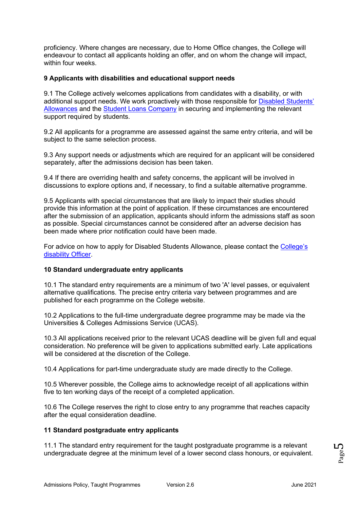proficiency. Where changes are necessary, due to Home Office changes, the College will endeavour to contact all applicants holding an offer, and on whom the change will impact, within four weeks.

### **9 Applicants with disabilities and educational support needs**

9.1 The College actively welcomes applications from candidates with a disability, or with additional support needs. We work proactively with those responsible for Disabled Students' Allowances and the Student Loans Company in securing and implementing the relevant support required by students.

9.2 All applicants for a programme are assessed against the same entry criteria, and will be subject to the same selection process.

9.3 Any support needs or adjustments which are required for an applicant will be considered separately, after the admissions decision has been taken.

9.4 If there are overriding health and safety concerns, the applicant will be involved in discussions to explore options and, if necessary, to find a suitable alternative programme.

9.5 Applicants with special circumstances that are likely to impact their studies should provide this information at the point of application. If these circumstances are encountered after the submission of an application, applicants should inform the admissions staff as soon as possible. Special circumstances cannot be considered after an adverse decision has been made where prior notification could have been made.

For advice on how to apply for Disabled Students Allowance, please contact the College's disability Officer.

#### **10 Standard undergraduate entry applicants**

10.1 The standard entry requirements are a minimum of two 'A' level passes, or equivalent alternative qualifications. The precise entry criteria vary between programmes and are published for each programme on the College website.

10.2 Applications to the full-time undergraduate degree programme may be made via the Universities & Colleges Admissions Service (UCAS).

10.3 All applications received prior to the relevant UCAS deadline will be given full and equal consideration. No preference will be given to applications submitted early. Late applications will be considered at the discretion of the College.

10.4 Applications for part-time undergraduate study are made directly to the College.

10.5 Wherever possible, the College aims to acknowledge receipt of all applications within five to ten working days of the receipt of a completed application.

10.6 The College reserves the right to close entry to any programme that reaches capacity after the equal consideration deadline.

#### **11 Standard postgraduate entry applicants**

11.1 The standard entry requirement for the taught postgraduate programme is a relevant undergraduate degree at the minimum level of a lower second class honours, or equivalent.

Page ما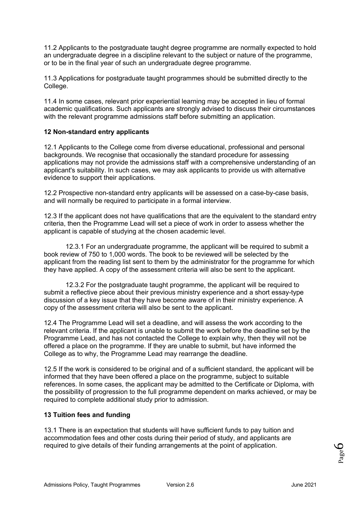11.2 Applicants to the postgraduate taught degree programme are normally expected to hold an undergraduate degree in a discipline relevant to the subject or nature of the programme, or to be in the final year of such an undergraduate degree programme.

11.3 Applications for postgraduate taught programmes should be submitted directly to the College.

11.4 In some cases, relevant prior experiential learning may be accepted in lieu of formal academic qualifications. Such applicants are strongly advised to discuss their circumstances with the relevant programme admissions staff before submitting an application.

## **12 Non-standard entry applicants**

12.1 Applicants to the College come from diverse educational, professional and personal backgrounds. We recognise that occasionally the standard procedure for assessing applications may not provide the admissions staff with a comprehensive understanding of an applicant's suitability. In such cases, we may ask applicants to provide us with alternative evidence to support their applications.

12.2 Prospective non-standard entry applicants will be assessed on a case-by-case basis, and will normally be required to participate in a formal interview.

12.3 If the applicant does not have qualifications that are the equivalent to the standard entry criteria, then the Programme Lead will set a piece of work in order to assess whether the applicant is capable of studying at the chosen academic level.

12.3.1 For an undergraduate programme, the applicant will be required to submit a book review of 750 to 1,000 words. The book to be reviewed will be selected by the applicant from the reading list sent to them by the administrator for the programme for which they have applied. A copy of the assessment criteria will also be sent to the applicant.

12.3.2 For the postgraduate taught programme, the applicant will be required to submit a reflective piece about their previous ministry experience and a short essay-type discussion of a key issue that they have become aware of in their ministry experience. A copy of the assessment criteria will also be sent to the applicant.

12.4 The Programme Lead will set a deadline, and will assess the work according to the relevant criteria. If the applicant is unable to submit the work before the deadline set by the Programme Lead, and has not contacted the College to explain why, then they will not be offered a place on the programme. If they are unable to submit, but have informed the College as to why, the Programme Lead may rearrange the deadline.

12.5 If the work is considered to be original and of a sufficient standard, the applicant will be informed that they have been offered a place on the programme, subject to suitable references. In some cases, the applicant may be admitted to the Certificate or Diploma, with the possibility of progression to the full programme dependent on marks achieved, or may be required to complete additional study prior to admission.

## **13 Tuition fees and funding**

13.1 There is an expectation that students will have sufficient funds to pay tuition and accommodation fees and other costs during their period of study, and applicants are required to give details of their funding arrangements at the point of application.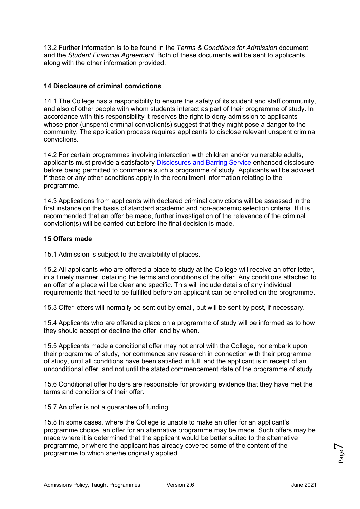13.2 Further information is to be found in the *Terms & Conditions for Admission* document and the *Student Financial Agreement*. Both of these documents will be sent to applicants, along with the other information provided.

## **14 Disclosure of criminal convictions**

14.1 The College has a responsibility to ensure the safety of its student and staff community, and also of other people with whom students interact as part of their programme of study. In accordance with this responsibility it reserves the right to deny admission to applicants whose prior (unspent) criminal conviction(s) suggest that they might pose a danger to the community. The application process requires applicants to disclose relevant unspent criminal convictions.

14.2 For certain programmes involving interaction with children and/or vulnerable adults, applicants must provide a satisfactory Disclosures and Barring Service enhanced disclosure before being permitted to commence such a programme of study. Applicants will be advised if these or any other conditions apply in the recruitment information relating to the programme.

14.3 Applications from applicants with declared criminal convictions will be assessed in the first instance on the basis of standard academic and non-academic selection criteria. If it is recommended that an offer be made, further investigation of the relevance of the criminal conviction(s) will be carried-out before the final decision is made.

### **15 Offers made**

15.1 Admission is subject to the availability of places.

15.2 All applicants who are offered a place to study at the College will receive an offer letter, in a timely manner, detailing the terms and conditions of the offer. Any conditions attached to an offer of a place will be clear and specific. This will include details of any individual requirements that need to be fulfilled before an applicant can be enrolled on the programme.

15.3 Offer letters will normally be sent out by email, but will be sent by post, if necessary.

15.4 Applicants who are offered a place on a programme of study will be informed as to how they should accept or decline the offer, and by when.

15.5 Applicants made a conditional offer may not enrol with the College, nor embark upon their programme of study, nor commence any research in connection with their programme of study, until all conditions have been satisfied in full, and the applicant is in receipt of an unconditional offer, and not until the stated commencement date of the programme of study.

15.6 Conditional offer holders are responsible for providing evidence that they have met the terms and conditions of their offer.

15.7 An offer is not a guarantee of funding.

15.8 In some cases, where the College is unable to make an offer for an applicant's programme choice, an offer for an alternative programme may be made. Such offers may be made where it is determined that the applicant would be better suited to the alternative programme, or where the applicant has already covered some of the content of the programme to which she/he originally applied.

Page  $\overline{\phantom{0}}$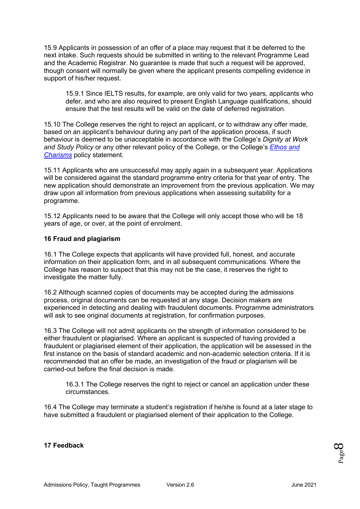15.9 Applicants in possession of an offer of a place may request that it be deferred to the next intake. Such requests should be submitted in writing to the relevant Programme Lead and the Academic Registrar. No guarantee is made that such a request will be approved, though consent will normally be given where the applicant presents compelling evidence in support of his/her request.

15.9.1 Since IELTS results, for example, are only valid for two years, applicants who defer, and who are also required to present English Language qualifications, should ensure that the test results will be valid on the date of deferred registration.

15.10 The College reserves the right to reject an applicant, or to withdraw any offer made, based on an applicant's behaviour during any part of the application process, if such behaviour is deemed to be unacceptable in accordance with the College's *Dignity at Work and Study Policy* or any other relevant policy of the College, or the College's *Ethos and Charisms* policy statement.

15.11 Applicants who are unsuccessful may apply again in a subsequent year. Applications will be considered against the standard programme entry criteria for that year of entry. The new application should demonstrate an improvement from the previous application. We may draw upon all information from previous applications when assessing suitability for a programme.

15.12 Applicants need to be aware that the College will only accept those who will be 18 years of age, or over, at the point of enrolment.

### **16 Fraud and plagiarism**

16.1 The College expects that applicants will have provided full, honest, and accurate information on their application form, and in all subsequent communications. Where the College has reason to suspect that this may not be the case, it reserves the right to investigate the matter fully.

16.2 Although scanned copies of documents may be accepted during the admissions process, original documents can be requested at any stage. Decision makers are experienced in detecting and dealing with fraudulent documents. Programme administrators will ask to see original documents at registration, for confirmation purposes.

16.3 The College will not admit applicants on the strength of information considered to be either fraudulent or plagiarised. Where an applicant is suspected of having provided a fraudulent or plagiarised element of their application, the application will be assessed in the first instance on the basis of standard academic and non-academic selection criteria. If it is recommended that an offer be made, an investigation of the fraud or plagiarism will be carried-out before the final decision is made.

16.3.1 The College reserves the right to reject or cancel an application under these circumstances.

16.4 The College may terminate a student's registration if he/she is found at a later stage to have submitted a fraudulent or plagiarised element of their application to the College.

#### **17 Feedback**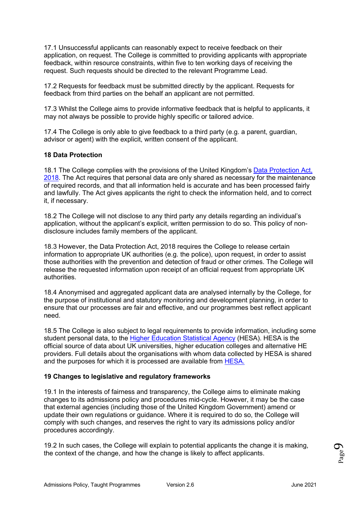17.1 Unsuccessful applicants can reasonably expect to receive feedback on their application, on request. The College is committed to providing applicants with appropriate feedback, within resource constraints, within five to ten working days of receiving the request. Such requests should be directed to the relevant Programme Lead.

17.2 Requests for feedback must be submitted directly by the applicant. Requests for feedback from third parties on the behalf an applicant are not permitted.

17.3 Whilst the College aims to provide informative feedback that is helpful to applicants, it may not always be possible to provide highly specific or tailored advice.

17.4 The College is only able to give feedback to a third party (e.g. a parent, guardian, advisor or agent) with the explicit, written consent of the applicant.

### **18 Data Protection**

18.1 The College complies with the provisions of the United Kingdom's Data Protection Act, 2018. The Act requires that personal data are only shared as necessary for the maintenance of required records, and that all information held is accurate and has been processed fairly and lawfully. The Act gives applicants the right to check the information held, and to correct it, if necessary.

18.2 The College will not disclose to any third party any details regarding an individual's application, without the applicant's explicit, written permission to do so. This policy of nondisclosure includes family members of the applicant.

18.3 However, the Data Protection Act, 2018 requires the College to release certain information to appropriate UK authorities (e.g. the police), upon request, in order to assist those authorities with the prevention and detection of fraud or other crimes. The College will release the requested information upon receipt of an official request from appropriate UK authorities.

18.4 Anonymised and aggregated applicant data are analysed internally by the College, for the purpose of institutional and statutory monitoring and development planning, in order to ensure that our processes are fair and effective, and our programmes best reflect applicant need.

18.5 The College is also subject to legal requirements to provide information, including some student personal data, to the Higher Education Statistical Agency (HESA). HESA is the official source of data about UK universities, higher education colleges and alternative HE providers. Full details about the organisations with whom data collected by HESA is shared and the purposes for which it is processed are available from HESA.

## **19 Changes to legislative and regulatory frameworks**

19.1 In the interests of fairness and transparency, the College aims to eliminate making changes to its admissions policy and procedures mid-cycle. However, it may be the case that external agencies (including those of the United Kingdom Government) amend or update their own regulations or guidance. Where it is required to do so, the College will comply with such changes, and reserves the right to vary its admissions policy and/or procedures accordingly.

19.2 In such cases, the College will explain to potential applicants the change it is making, the context of the change, and how the change is likely to affect applicants.